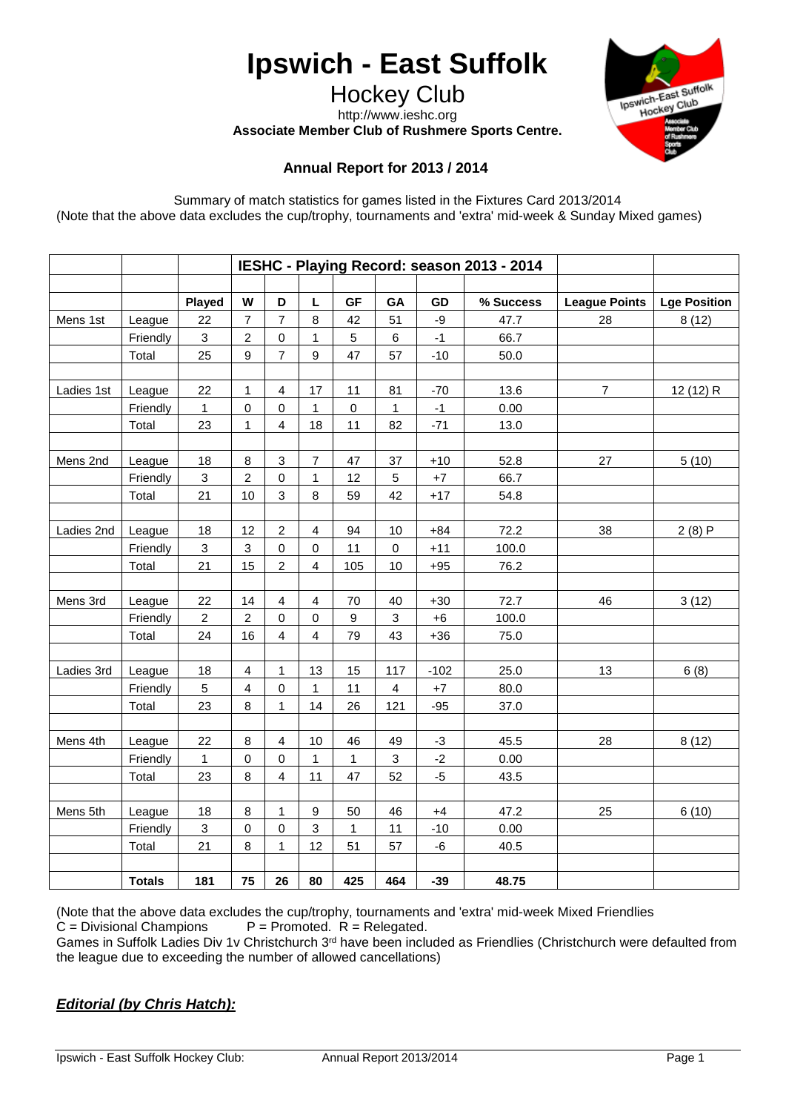# **Ipswich - East Suffolk**

Hockey Club http://www.ieshc.org

**Associate Member Club of Rushmere Sports Centre.**



# **Annual Report for 2013 / 2014**

Summary of match statistics for games listed in the Fixtures Card 2013/2014 (Note that the above data excludes the cup/trophy, tournaments and 'extra' mid-week & Sunday Mixed games)

|            |               | IESHC - Playing Record: season 2013 - 2014 |                           |                         |                         |              |                           |        |           |                      |                     |
|------------|---------------|--------------------------------------------|---------------------------|-------------------------|-------------------------|--------------|---------------------------|--------|-----------|----------------------|---------------------|
|            |               |                                            |                           |                         |                         |              |                           |        |           |                      |                     |
|            |               | Played                                     | W                         | D                       | L                       | <b>GF</b>    | GA                        | GD     | % Success | <b>League Points</b> | <b>Lge Position</b> |
| Mens 1st   | League        | 22                                         | $\overline{7}$            | $\overline{7}$          | 8                       | 42           | 51                        | -9     | 47.7      | 28                   | 8(12)               |
|            | Friendly      | 3                                          | $\overline{c}$            | $\mathbf 0$             | 1                       | 5            | $\,6$                     | $-1$   | 66.7      |                      |                     |
|            | Total         | 25                                         | 9                         | 7                       | $\boldsymbol{9}$        | 47           | 57                        | $-10$  | 50.0      |                      |                     |
|            |               |                                            |                           |                         |                         |              |                           |        |           |                      |                     |
| Ladies 1st | League        | 22                                         | 1                         | $\overline{4}$          | 17                      | 11           | 81                        | $-70$  | 13.6      | $\overline{7}$       | 12 (12) R           |
|            | Friendly      | 1                                          | $\mathbf 0$               | 0                       | 1                       | 0            | $\mathbf{1}$              | $-1$   | 0.00      |                      |                     |
|            | Total         | 23                                         | 1                         | $\overline{4}$          | 18                      | 11           | 82                        | $-71$  | 13.0      |                      |                     |
|            |               |                                            |                           |                         |                         |              |                           |        |           |                      |                     |
| Mens 2nd   | League        | 18                                         | 8                         | 3                       | 7                       | 47           | 37                        | $+10$  | 52.8      | 27                   | 5(10)               |
|            | Friendly      | 3                                          | $\overline{2}$            | $\mathsf 0$             | 1                       | 12           | $\sqrt{5}$                | $+7$   | 66.7      |                      |                     |
|            | Total         | 21                                         | 10                        | 3                       | $\,8\,$                 | 59           | 42                        | $+17$  | 54.8      |                      |                     |
|            |               |                                            |                           |                         |                         |              |                           |        |           |                      |                     |
| Ladies 2nd | League        | 18                                         | 12                        | $\overline{c}$          | $\overline{4}$          | 94           | 10                        | $+84$  | 72.2      | 38                   | 2(8)P               |
|            | Friendly      | $\sqrt{3}$                                 | $\ensuremath{\mathsf{3}}$ | 0                       | $\mathbf 0$             | 11           | $\pmb{0}$                 | $+11$  | 100.0     |                      |                     |
|            | Total         | 21                                         | 15                        | $\overline{c}$          | $\overline{4}$          | 105          | 10                        | $+95$  | 76.2      |                      |                     |
|            |               |                                            |                           |                         |                         |              |                           |        |           |                      |                     |
| Mens 3rd   | League        | 22                                         | 14                        | $\overline{\mathbf{4}}$ | $\overline{\mathbf{4}}$ | 70           | 40                        | $+30$  | 72.7      | 46                   | 3(12)               |
|            | Friendly      | $\overline{2}$                             | $\boldsymbol{2}$          | $\mathsf 0$             | $\pmb{0}$               | 9            | $\ensuremath{\mathsf{3}}$ | $+6$   | 100.0     |                      |                     |
|            | Total         | 24                                         | 16                        | $\overline{4}$          | $\overline{4}$          | 79           | 43                        | $+36$  | 75.0      |                      |                     |
|            |               |                                            |                           |                         |                         |              |                           |        |           |                      |                     |
| Ladies 3rd | League        | 18                                         | $\overline{4}$            | $\mathbf{1}$            | 13                      | 15           | 117                       | $-102$ | 25.0      | 13                   | 6(8)                |
|            | Friendly      | 5                                          | $\overline{\mathbf{4}}$   | 0                       | $\mathbf{1}$            | 11           | $\overline{4}$            | $+7$   | 80.0      |                      |                     |
|            | Total         | 23                                         | 8                         | $\mathbf{1}$            | 14                      | 26           | 121                       | $-95$  | 37.0      |                      |                     |
|            |               |                                            |                           |                         |                         |              |                           |        |           |                      |                     |
| Mens 4th   | League        | 22                                         | 8                         | 4                       | 10                      | 46           | 49                        | $-3$   | 45.5      | 28                   | 8(12)               |
|            | Friendly      | 1                                          | $\mathbf 0$               | 0                       | 1                       | $\mathbf{1}$ | $\mathfrak{Z}$            | $-2$   | 0.00      |                      |                     |
|            | Total         | 23                                         | 8                         | $\overline{\mathbf{4}}$ | 11                      | 47           | 52                        | $-5$   | 43.5      |                      |                     |
|            |               |                                            |                           |                         |                         |              |                           |        |           |                      |                     |
| Mens 5th   | League        | 18                                         | 8                         | 1                       | 9                       | 50           | 46                        | $+4$   | 47.2      | 25                   | 6(10)               |
|            | Friendly      | 3                                          | $\pmb{0}$                 | 0                       | 3                       | 1            | 11                        | $-10$  | 0.00      |                      |                     |
|            | Total         | 21                                         | 8                         | 1                       | 12                      | 51           | 57                        | -6     | 40.5      |                      |                     |
|            |               |                                            |                           |                         |                         |              |                           |        |           |                      |                     |
|            | <b>Totals</b> | 181                                        | 75                        | 26                      | 80                      | 425          | 464                       | $-39$  | 48.75     |                      |                     |

(Note that the above data excludes the cup/trophy, tournaments and 'extra' mid-week Mixed Friendlies  $C = Divisional$  Champions  $P = Promoted$ .  $R = Releaded$ .  $P =$  Promoted.  $R =$  Relegated.

Games in Suffolk Ladies Div 1v Christchurch 3rd have been included as Friendlies (Christchurch were defaulted from the league due to exceeding the number of allowed cancellations)

# *Editorial (by Chris Hatch):*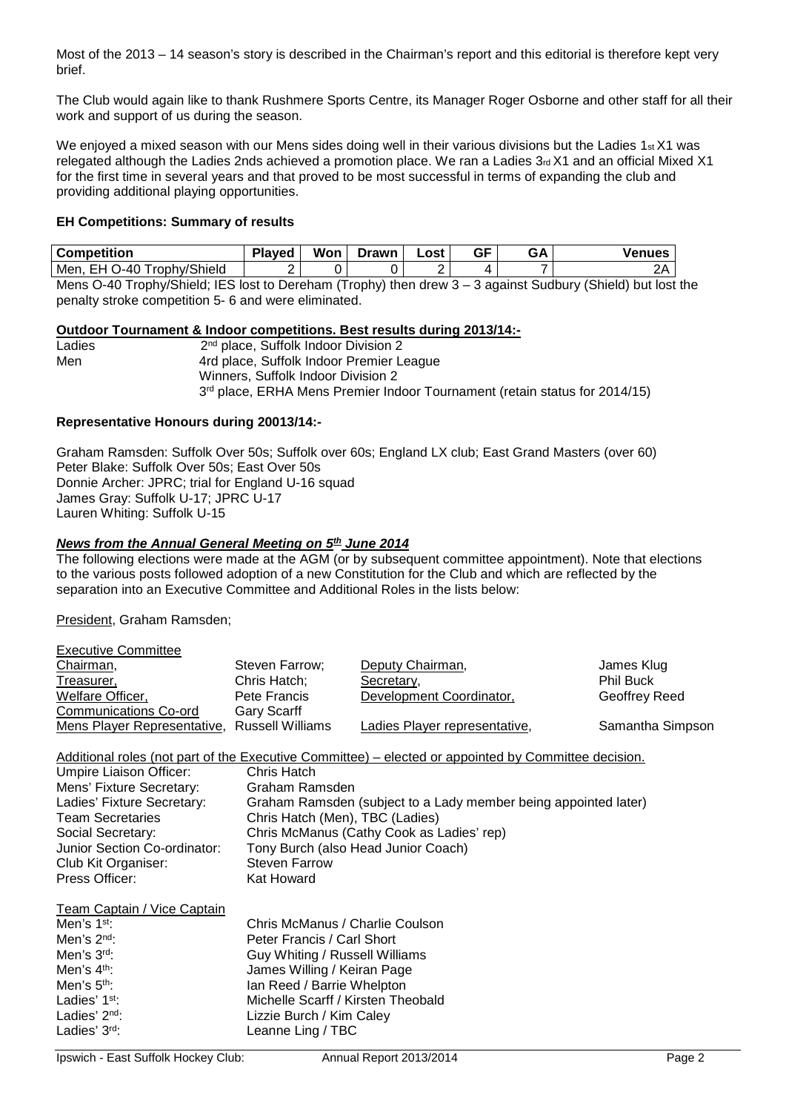Most of the 2013 – 14 season's story is described in the Chairman's report and this editorial is therefore kept very brief.

The Club would again like to thank Rushmere Sports Centre, its Manager Roger Osborne and other staff for all their work and support of us during the season.

We enjoyed a mixed season with our Mens sides doing well in their various divisions but the Ladies 1st X1 was relegated although the Ladies 2nds achieved a promotion place. We ran a Ladies 3rd X1 and an official Mixed X1 for the first time in several years and that proved to be most successful in terms of expanding the club and providing additional playing opportunities.

#### **EH Competitions: Summary of results**

| <b>Competition</b>                      | Played | Won    | <b>Drawn</b> | ∟ost | GF     | <b>GA</b> | <b>Venues</b>    |
|-----------------------------------------|--------|--------|--------------|------|--------|-----------|------------------|
| Trophy/Shield<br>)-40<br>Men,<br>--     |        |        |              |      |        | -         | つん<br>$\epsilon$ |
| $- - -$<br>$\sim$<br>.<br>. .<br>$\sim$ |        | $\sim$ |              |      | $\sim$ |           | . .<br>$\sim$    |

Mens O-40 Trophy/Shield; IES lost to Dereham (Trophy) then drew 3 – 3 against Sudbury (Shield) but lost the penalty stroke competition 5- 6 and were eliminated.

#### **Outdoor Tournament & Indoor competitions. Best results during 2013/14:-**

| Ladies | 2 <sup>nd</sup> place, Suffolk Indoor Division 2                                       |  |  |  |  |  |
|--------|----------------------------------------------------------------------------------------|--|--|--|--|--|
| Men    | 4rd place, Suffolk Indoor Premier League                                               |  |  |  |  |  |
|        | Winners, Suffolk Indoor Division 2                                                     |  |  |  |  |  |
|        | 3 <sup>rd</sup> place, ERHA Mens Premier Indoor Tournament (retain status for 2014/15) |  |  |  |  |  |

#### **Representative Honours during 20013/14:-**

Graham Ramsden: Suffolk Over 50s; Suffolk over 60s; England LX club; East Grand Masters (over 60) Peter Blake: Suffolk Over 50s; East Over 50s Donnie Archer: JPRC; trial for England U-16 squad James Gray: Suffolk U-17; JPRC U-17 Lauren Whiting: Suffolk U-15

#### *News from the Annual General Meeting on 5th June 2014*

The following elections were made at the AGM (or by subsequent committee appointment). Note that elections to the various posts followed adoption of a new Constitution for the Club and which are reflected by the separation into an Executive Committee and Additional Roles in the lists below:

President, Graham Ramsden;

Executive Committee

| EXECUTIVE CONTINUES         |                  |                               |                  |
|-----------------------------|------------------|-------------------------------|------------------|
| Chairman,                   | Steven Farrow;   | Deputy Chairman,              | James Klug       |
| Treasurer,                  | Chris Hatch;     | Secretary,                    | <b>Phil Buck</b> |
| Welfare Officer,            | Pete Francis     | Development Coordinator,      | Geoffrey Reed    |
| Communications Co-ord       | Gary Scarff      |                               |                  |
| Mens Player Representative, | Russell Williams | Ladies Player representative, | Samantha Simpson |

Additional roles (not part of the Executive Committee) – elected or appointed by Committee decision.<br>Umpire Liaison Officer: Chris Hatch Umpire Liaison Officer: Chris Hatch<br>
Mens' Fixture Secretary: Graham Ramsden Mens' Fixture Secretary:<br>Ladies' Fixture Secretary: Graham Ramsden (subject to a Lady member being appointed later) Team Secretaries Chris Hatch (Men), TBC (Ladies) Social Secretary: Chris McManus (Cathy Cook as Ladies' rep) Junior Section Co-ordinator: Tony Burch (also Head Junior Coach) Club Kit Organiser:<br>
Press Officer: Sand Clear Control Cat Howard Press Officer:

Team Captain / Vice Captain

| Men's 1 <sup>st</sup> :   | Chris McManus / Charlie Coulson    |
|---------------------------|------------------------------------|
| Men's $2nd$ :             | Peter Francis / Carl Short         |
| Men's 3rd:                | Guy Whiting / Russell Williams     |
| Men's 4 <sup>th</sup> :   | James Willing / Keiran Page        |
| Men's $5th$ :             | Ian Reed / Barrie Whelpton         |
| Ladies' 1 <sup>st</sup> : | Michelle Scarff / Kirsten Theobald |
| Ladies' $2nd$ :           | Lizzie Burch / Kim Caley           |
| Ladies' 3rd:              | Leanne Ling / TBC                  |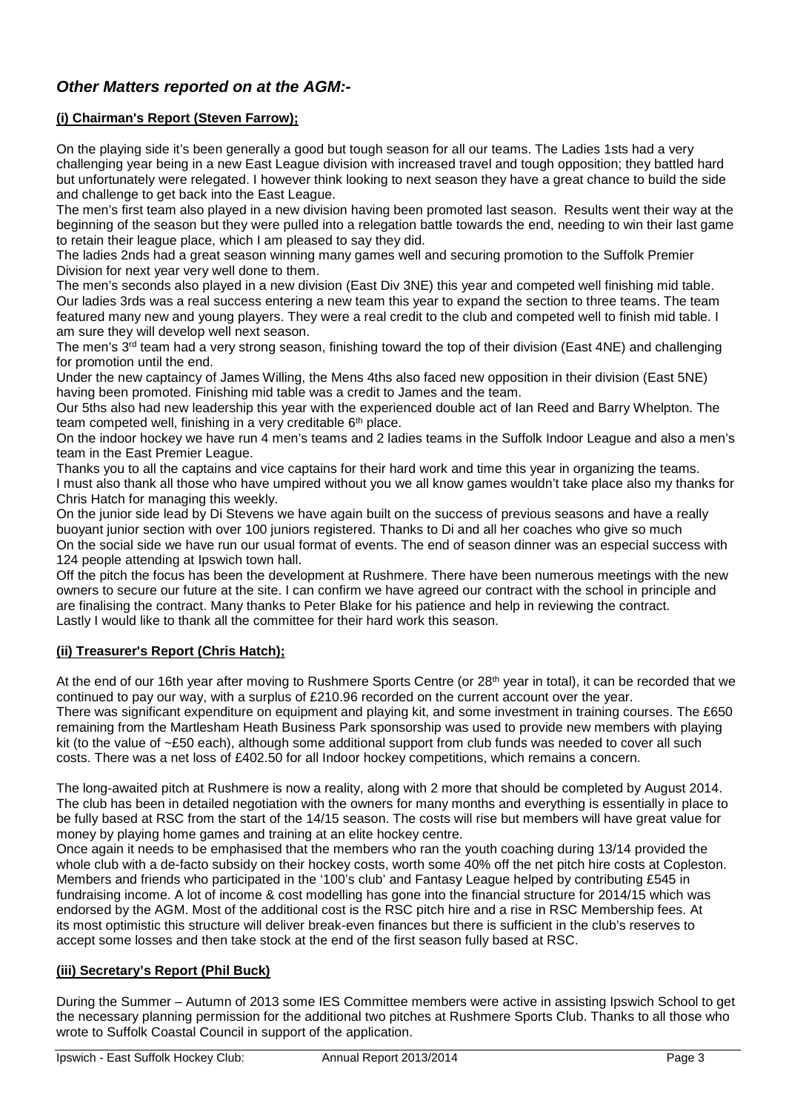# *Other Matters reported on at the AGM:-*

# **(i) Chairman's Report (Steven Farrow);**

On the playing side it's been generally a good but tough season for all our teams. The Ladies 1sts had a very challenging year being in a new East League division with increased travel and tough opposition; they battled hard but unfortunately were relegated. I however think looking to next season they have a great chance to build the side and challenge to get back into the East League.

The men's first team also played in a new division having been promoted last season. Results went their way at the beginning of the season but they were pulled into a relegation battle towards the end, needing to win their last game to retain their league place, which I am pleased to say they did.

The ladies 2nds had a great season winning many games well and securing promotion to the Suffolk Premier Division for next year very well done to them.

The men's seconds also played in a new division (East Div 3NE) this year and competed well finishing mid table. Our ladies 3rds was a real success entering a new team this year to expand the section to three teams. The team featured many new and young players. They were a real credit to the club and competed well to finish mid table. I am sure they will develop well next season.

The men's 3<sup>rd</sup> team had a very strong season, finishing toward the top of their division (East 4NE) and challenging for promotion until the end.

Under the new captaincy of James Willing, the Mens 4ths also faced new opposition in their division (East 5NE) having been promoted. Finishing mid table was a credit to James and the team.

Our 5ths also had new leadership this year with the experienced double act of Ian Reed and Barry Whelpton. The team competed well, finishing in a very creditable 6<sup>th</sup> place.

On the indoor hockey we have run 4 men's teams and 2 ladies teams in the Suffolk Indoor League and also a men's team in the East Premier League.

Thanks you to all the captains and vice captains for their hard work and time this year in organizing the teams. I must also thank all those who have umpired without you we all know games wouldn't take place also my thanks for Chris Hatch for managing this weekly.

On the junior side lead by Di Stevens we have again built on the success of previous seasons and have a really buoyant junior section with over 100 juniors registered. Thanks to Di and all her coaches who give so much On the social side we have run our usual format of events. The end of season dinner was an especial success with 124 people attending at Ipswich town hall.

Off the pitch the focus has been the development at Rushmere. There have been numerous meetings with the new owners to secure our future at the site. I can confirm we have agreed our contract with the school in principle and are finalising the contract. Many thanks to Peter Blake for his patience and help in reviewing the contract. Lastly I would like to thank all the committee for their hard work this season.

#### **(ii) Treasurer's Report (Chris Hatch);**

At the end of our 16th year after moving to Rushmere Sports Centre (or 28<sup>th</sup> year in total), it can be recorded that we continued to pay our way, with a surplus of £210.96 recorded on the current account over the year. There was significant expenditure on equipment and playing kit, and some investment in training courses. The £650 remaining from the Martlesham Heath Business Park sponsorship was used to provide new members with playing kit (to the value of ~£50 each), although some additional support from club funds was needed to cover all such costs. There was a net loss of £402.50 for all Indoor hockey competitions, which remains a concern.

The long-awaited pitch at Rushmere is now a reality, along with 2 more that should be completed by August 2014. The club has been in detailed negotiation with the owners for many months and everything is essentially in place to be fully based at RSC from the start of the 14/15 season. The costs will rise but members will have great value for money by playing home games and training at an elite hockey centre.

Once again it needs to be emphasised that the members who ran the youth coaching during 13/14 provided the whole club with a de-facto subsidy on their hockey costs, worth some 40% off the net pitch hire costs at Copleston. Members and friends who participated in the '100's club' and Fantasy League helped by contributing £545 in fundraising income. A lot of income & cost modelling has gone into the financial structure for 2014/15 which was endorsed by the AGM. Most of the additional cost is the RSC pitch hire and a rise in RSC Membership fees. At its most optimistic this structure will deliver break-even finances but there is sufficient in the club's reserves to accept some losses and then take stock at the end of the first season fully based at RSC.

# **(iii) Secretary's Report (Phil Buck)**

During the Summer – Autumn of 2013 some IES Committee members were active in assisting Ipswich School to get the necessary planning permission for the additional two pitches at Rushmere Sports Club. Thanks to all those who wrote to Suffolk Coastal Council in support of the application.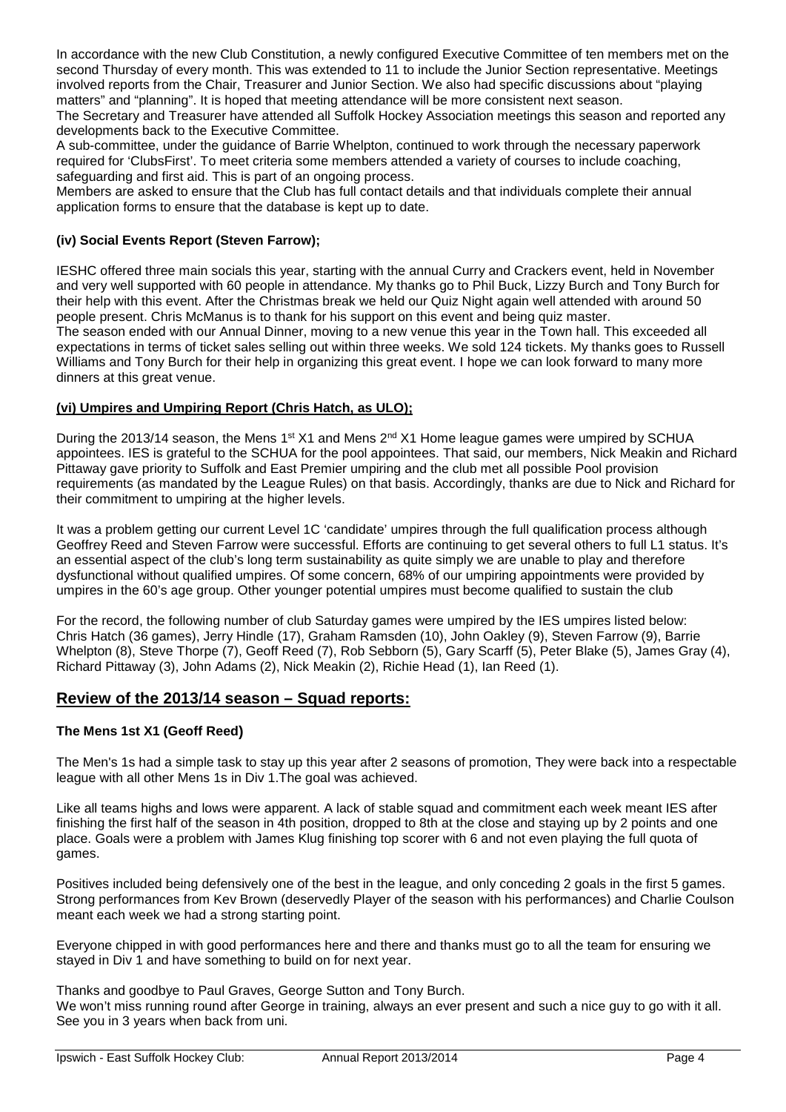In accordance with the new Club Constitution, a newly configured Executive Committee of ten members met on the second Thursday of every month. This was extended to 11 to include the Junior Section representative. Meetings involved reports from the Chair, Treasurer and Junior Section. We also had specific discussions about "playing matters" and "planning". It is hoped that meeting attendance will be more consistent next season.

The Secretary and Treasurer have attended all Suffolk Hockey Association meetings this season and reported any developments back to the Executive Committee.

A sub-committee, under the guidance of Barrie Whelpton, continued to work through the necessary paperwork required for 'ClubsFirst'. To meet criteria some members attended a variety of courses to include coaching, safeguarding and first aid. This is part of an ongoing process.

Members are asked to ensure that the Club has full contact details and that individuals complete their annual application forms to ensure that the database is kept up to date.

#### **(iv) Social Events Report (Steven Farrow);**

IESHC offered three main socials this year, starting with the annual Curry and Crackers event, held in November and very well supported with 60 people in attendance. My thanks go to Phil Buck, Lizzy Burch and Tony Burch for their help with this event. After the Christmas break we held our Quiz Night again well attended with around 50 people present. Chris McManus is to thank for his support on this event and being quiz master.

The season ended with our Annual Dinner, moving to a new venue this year in the Town hall. This exceeded all expectations in terms of ticket sales selling out within three weeks. We sold 124 tickets. My thanks goes to Russell Williams and Tony Burch for their help in organizing this great event. I hope we can look forward to many more dinners at this great venue.

#### **(vi) Umpires and Umpiring Report (Chris Hatch, as ULO);**

During the 2013/14 season, the Mens 1<sup>st</sup> X1 and Mens 2<sup>nd</sup> X1 Home league games were umpired by SCHUA appointees. IES is grateful to the SCHUA for the pool appointees. That said, our members, Nick Meakin and Richard Pittaway gave priority to Suffolk and East Premier umpiring and the club met all possible Pool provision requirements (as mandated by the League Rules) on that basis. Accordingly, thanks are due to Nick and Richard for their commitment to umpiring at the higher levels.

It was a problem getting our current Level 1C 'candidate' umpires through the full qualification process although Geoffrey Reed and Steven Farrow were successful. Efforts are continuing to get several others to full L1 status. It's an essential aspect of the club's long term sustainability as quite simply we are unable to play and therefore dysfunctional without qualified umpires. Of some concern, 68% of our umpiring appointments were provided by umpires in the 60's age group. Other younger potential umpires must become qualified to sustain the club

For the record, the following number of club Saturday games were umpired by the IES umpires listed below: Chris Hatch (36 games), Jerry Hindle (17), Graham Ramsden (10), John Oakley (9), Steven Farrow (9), Barrie Whelpton (8), Steve Thorpe (7), Geoff Reed (7), Rob Sebborn (5), Gary Scarff (5), Peter Blake (5), James Gray (4), Richard Pittaway (3), John Adams (2), Nick Meakin (2), Richie Head (1), Ian Reed (1).

#### **Review of the 2013/14 season – Squad reports:**

#### **The Mens 1st X1 (Geoff Reed)**

The Men's 1s had a simple task to stay up this year after 2 seasons of promotion, They were back into a respectable league with all other Mens 1s in Div 1.The goal was achieved.

Like all teams highs and lows were apparent. A lack of stable squad and commitment each week meant IES after finishing the first half of the season in 4th position, dropped to 8th at the close and staying up by 2 points and one place. Goals were a problem with James Klug finishing top scorer with 6 and not even playing the full quota of games.

Positives included being defensively one of the best in the league, and only conceding 2 goals in the first 5 games. Strong performances from Kev Brown (deservedly Player of the season with his performances) and Charlie Coulson meant each week we had a strong starting point.

Everyone chipped in with good performances here and there and thanks must go to all the team for ensuring we stayed in Div 1 and have something to build on for next year.

Thanks and goodbye to Paul Graves, George Sutton and Tony Burch.

We won't miss running round after George in training, always an ever present and such a nice guy to go with it all. See you in 3 years when back from uni.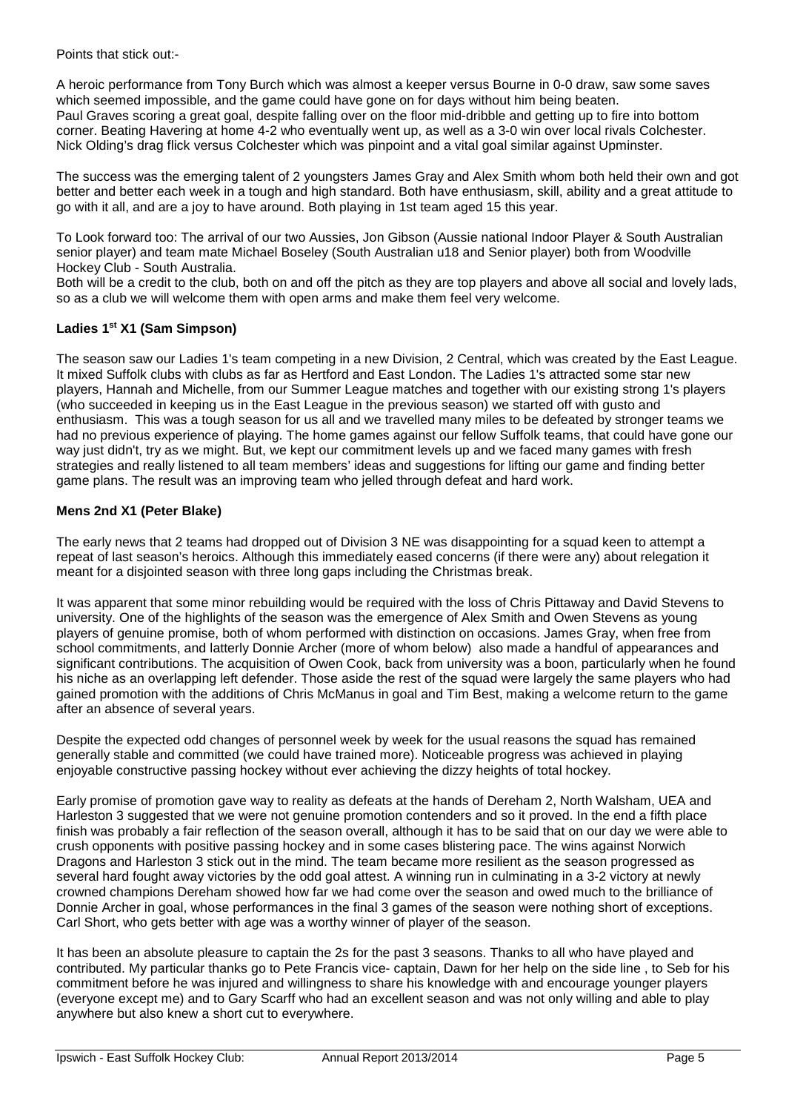Points that stick out:-

A heroic performance from Tony Burch which was almost a keeper versus Bourne in 0-0 draw, saw some saves which seemed impossible, and the game could have gone on for days without him being beaten. Paul Graves scoring a great goal, despite falling over on the floor mid-dribble and getting up to fire into bottom corner. Beating Havering at home 4-2 who eventually went up, as well as a 3-0 win over local rivals Colchester. Nick Olding's drag flick versus Colchester which was pinpoint and a vital goal similar against Upminster.

The success was the emerging talent of 2 youngsters James Gray and Alex Smith whom both held their own and got better and better each week in a tough and high standard. Both have enthusiasm, skill, ability and a great attitude to go with it all, and are a joy to have around. Both playing in 1st team aged 15 this year.

To Look forward too: The arrival of our two Aussies, Jon Gibson (Aussie national Indoor Player & South Australian senior player) and team mate Michael Boseley (South Australian u18 and Senior player) both from Woodville Hockey Club - South Australia.

Both will be a credit to the club, both on and off the pitch as they are top players and above all social and lovely lads, so as a club we will welcome them with open arms and make them feel very welcome.

# **Ladies 1st X1 (Sam Simpson)**

The season saw our Ladies 1's team competing in a new Division, 2 Central, which was created by the East League. It mixed Suffolk clubs with clubs as far as Hertford and East London. The Ladies 1's attracted some star new players, Hannah and Michelle, from our Summer League matches and together with our existing strong 1's players (who succeeded in keeping us in the East League in the previous season) we started off with gusto and enthusiasm. This was a tough season for us all and we travelled many miles to be defeated by stronger teams we had no previous experience of playing. The home games against our fellow Suffolk teams, that could have gone our way just didn't, try as we might. But, we kept our commitment levels up and we faced many games with fresh strategies and really listened to all team members' ideas and suggestions for lifting our game and finding better game plans. The result was an improving team who jelled through defeat and hard work.

# **Mens 2nd X1 (Peter Blake)**

The early news that 2 teams had dropped out of Division 3 NE was disappointing for a squad keen to attempt a repeat of last season's heroics. Although this immediately eased concerns (if there were any) about relegation it meant for a disjointed season with three long gaps including the Christmas break.

It was apparent that some minor rebuilding would be required with the loss of Chris Pittaway and David Stevens to university. One of the highlights of the season was the emergence of Alex Smith and Owen Stevens as young players of genuine promise, both of whom performed with distinction on occasions. James Gray, when free from school commitments, and latterly Donnie Archer (more of whom below) also made a handful of appearances and significant contributions. The acquisition of Owen Cook, back from university was a boon, particularly when he found his niche as an overlapping left defender. Those aside the rest of the squad were largely the same players who had gained promotion with the additions of Chris McManus in goal and Tim Best, making a welcome return to the game after an absence of several years.

Despite the expected odd changes of personnel week by week for the usual reasons the squad has remained generally stable and committed (we could have trained more). Noticeable progress was achieved in playing enjoyable constructive passing hockey without ever achieving the dizzy heights of total hockey.

Early promise of promotion gave way to reality as defeats at the hands of Dereham 2, North Walsham, UEA and Harleston 3 suggested that we were not genuine promotion contenders and so it proved. In the end a fifth place finish was probably a fair reflection of the season overall, although it has to be said that on our day we were able to crush opponents with positive passing hockey and in some cases blistering pace. The wins against Norwich Dragons and Harleston 3 stick out in the mind. The team became more resilient as the season progressed as several hard fought away victories by the odd goal attest. A winning run in culminating in a 3-2 victory at newly crowned champions Dereham showed how far we had come over the season and owed much to the brilliance of Donnie Archer in goal, whose performances in the final 3 games of the season were nothing short of exceptions. Carl Short, who gets better with age was a worthy winner of player of the season.

It has been an absolute pleasure to captain the 2s for the past 3 seasons. Thanks to all who have played and contributed. My particular thanks go to Pete Francis vice- captain, Dawn for her help on the side line , to Seb for his commitment before he was injured and willingness to share his knowledge with and encourage younger players (everyone except me) and to Gary Scarff who had an excellent season and was not only willing and able to play anywhere but also knew a short cut to everywhere.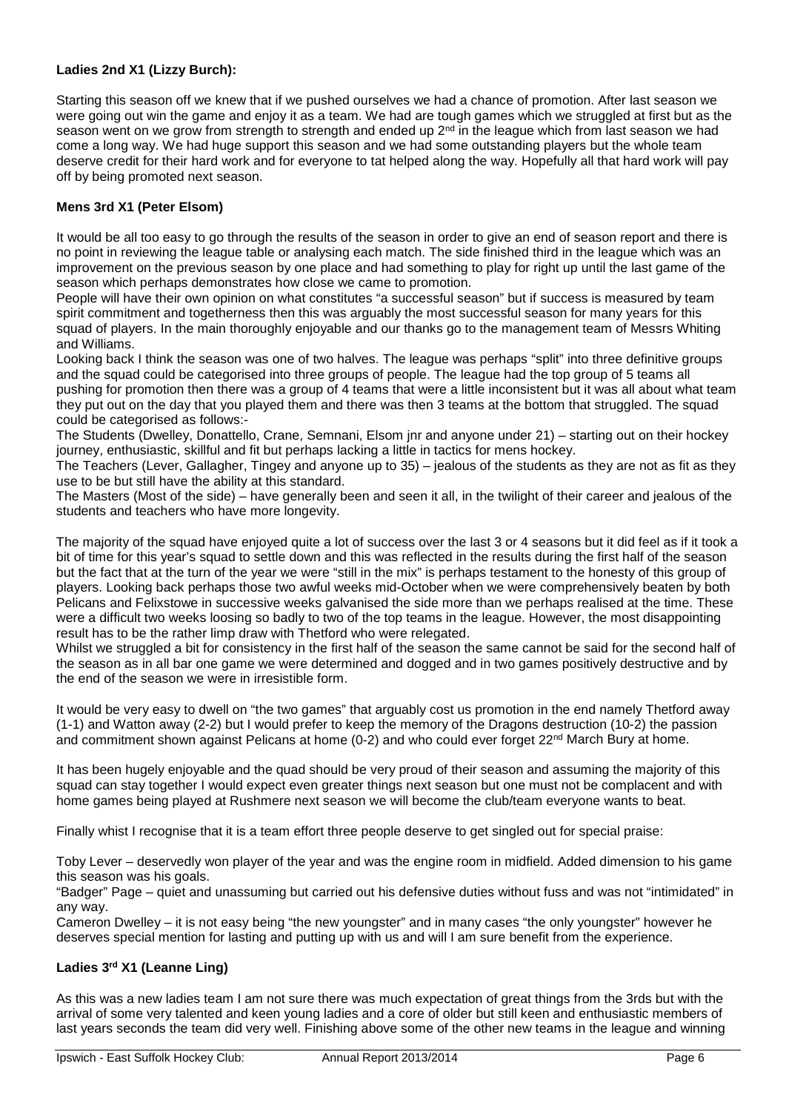# **Ladies 2nd X1 (Lizzy Burch):**

Starting this season off we knew that if we pushed ourselves we had a chance of promotion. After last season we were going out win the game and enjoy it as a team. We had are tough games which we struggled at first but as the season went on we grow from strength to strength and ended up  $2<sup>nd</sup>$  in the league which from last season we had come a long way. We had huge support this season and we had some outstanding players but the whole team deserve credit for their hard work and for everyone to tat helped along the way. Hopefully all that hard work will pay off by being promoted next season.

# **Mens 3rd X1 (Peter Elsom)**

It would be all too easy to go through the results of the season in order to give an end of season report and there is no point in reviewing the league table or analysing each match. The side finished third in the league which was an improvement on the previous season by one place and had something to play for right up until the last game of the season which perhaps demonstrates how close we came to promotion.

People will have their own opinion on what constitutes "a successful season" but if success is measured by team spirit commitment and togetherness then this was arguably the most successful season for many years for this squad of players. In the main thoroughly enjoyable and our thanks go to the management team of Messrs Whiting and Williams.

Looking back I think the season was one of two halves. The league was perhaps "split" into three definitive groups and the squad could be categorised into three groups of people. The league had the top group of 5 teams all pushing for promotion then there was a group of 4 teams that were a little inconsistent but it was all about what team they put out on the day that you played them and there was then 3 teams at the bottom that struggled. The squad could be categorised as follows:-

The Students (Dwelley, Donattello, Crane, Semnani, Elsom jnr and anyone under 21) – starting out on their hockey journey, enthusiastic, skillful and fit but perhaps lacking a little in tactics for mens hockey.

The Teachers (Lever, Gallagher, Tingey and anyone up to 35) – jealous of the students as they are not as fit as they use to be but still have the ability at this standard.

The Masters (Most of the side) – have generally been and seen it all, in the twilight of their career and jealous of the students and teachers who have more longevity.

The majority of the squad have enjoyed quite a lot of success over the last 3 or 4 seasons but it did feel as if it took a bit of time for this year's squad to settle down and this was reflected in the results during the first half of the season but the fact that at the turn of the year we were "still in the mix" is perhaps testament to the honesty of this group of players. Looking back perhaps those two awful weeks mid-October when we were comprehensively beaten by both Pelicans and Felixstowe in successive weeks galvanised the side more than we perhaps realised at the time. These were a difficult two weeks loosing so badly to two of the top teams in the league. However, the most disappointing result has to be the rather limp draw with Thetford who were relegated.

Whilst we struggled a bit for consistency in the first half of the season the same cannot be said for the second half of the season as in all bar one game we were determined and dogged and in two games positively destructive and by the end of the season we were in irresistible form.

It would be very easy to dwell on "the two games" that arguably cost us promotion in the end namely Thetford away (1-1) and Watton away (2-2) but I would prefer to keep the memory of the Dragons destruction (10-2) the passion and commitment shown against Pelicans at home (0-2) and who could ever forget 22<sup>nd</sup> March Bury at home.

It has been hugely enjoyable and the quad should be very proud of their season and assuming the majority of this squad can stay together I would expect even greater things next season but one must not be complacent and with home games being played at Rushmere next season we will become the club/team everyone wants to beat.

Finally whist I recognise that it is a team effort three people deserve to get singled out for special praise:

Toby Lever – deservedly won player of the year and was the engine room in midfield. Added dimension to his game this season was his goals.

"Badger" Page – quiet and unassuming but carried out his defensive duties without fuss and was not "intimidated" in any way.

Cameron Dwelley – it is not easy being "the new youngster" and in many cases "the only youngster" however he deserves special mention for lasting and putting up with us and will I am sure benefit from the experience.

### **Ladies 3rd X1 (Leanne Ling)**

As this was a new ladies team I am not sure there was much expectation of great things from the 3rds but with the arrival of some very talented and keen young ladies and a core of older but still keen and enthusiastic members of last years seconds the team did very well. Finishing above some of the other new teams in the league and winning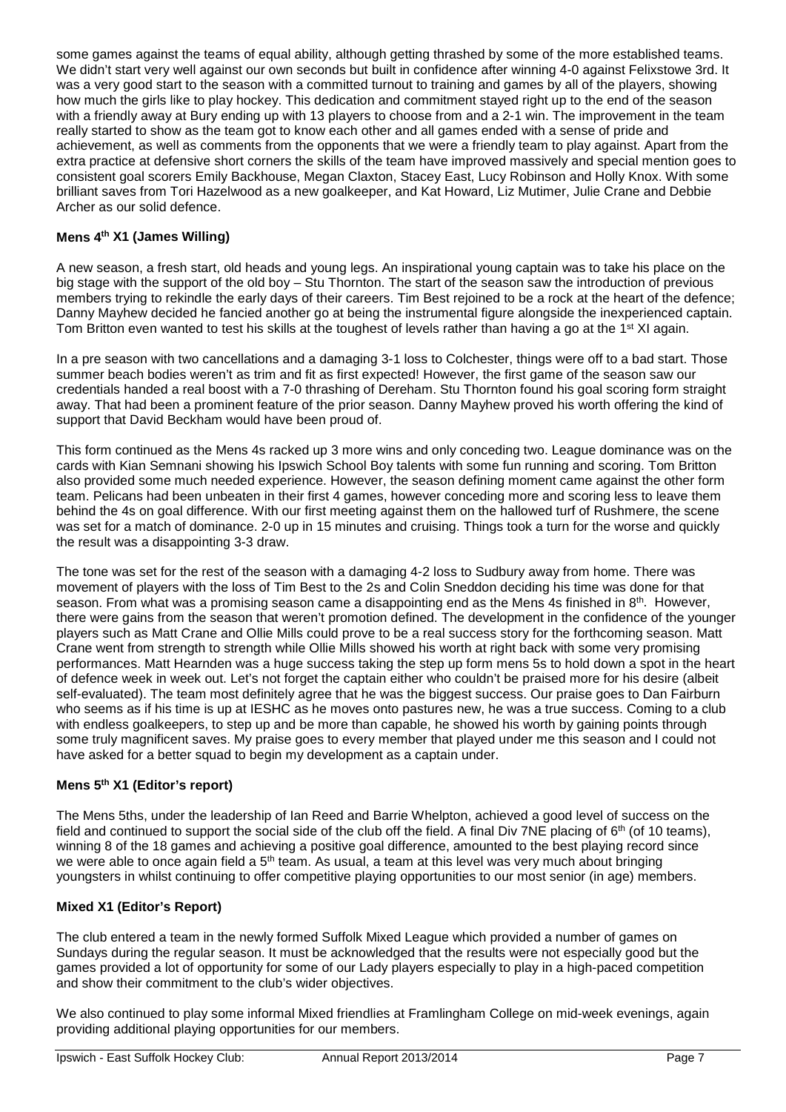some games against the teams of equal ability, although getting thrashed by some of the more established teams. We didn't start very well against our own seconds but built in confidence after winning 4-0 against Felixstowe 3rd. It was a very good start to the season with a committed turnout to training and games by all of the players, showing how much the girls like to play hockey. This dedication and commitment stayed right up to the end of the season with a friendly away at Bury ending up with 13 players to choose from and a 2-1 win. The improvement in the team really started to show as the team got to know each other and all games ended with a sense of pride and achievement, as well as comments from the opponents that we were a friendly team to play against. Apart from the extra practice at defensive short corners the skills of the team have improved massively and special mention goes to consistent goal scorers Emily Backhouse, Megan Claxton, Stacey East, Lucy Robinson and Holly Knox. With some brilliant saves from Tori Hazelwood as a new goalkeeper, and Kat Howard, Liz Mutimer, Julie Crane and Debbie Archer as our solid defence.

# **Mens 4th X1 (James Willing)**

A new season, a fresh start, old heads and young legs. An inspirational young captain was to take his place on the big stage with the support of the old boy – Stu Thornton. The start of the season saw the introduction of previous members trying to rekindle the early days of their careers. Tim Best rejoined to be a rock at the heart of the defence; Danny Mayhew decided he fancied another go at being the instrumental figure alongside the inexperienced captain. Tom Britton even wanted to test his skills at the toughest of levels rather than having a go at the 1<sup>st</sup> XI again.

In a pre season with two cancellations and a damaging 3-1 loss to Colchester, things were off to a bad start. Those summer beach bodies weren't as trim and fit as first expected! However, the first game of the season saw our credentials handed a real boost with a 7-0 thrashing of Dereham. Stu Thornton found his goal scoring form straight away. That had been a prominent feature of the prior season. Danny Mayhew proved his worth offering the kind of support that David Beckham would have been proud of.

This form continued as the Mens 4s racked up 3 more wins and only conceding two. League dominance was on the cards with Kian Semnani showing his Ipswich School Boy talents with some fun running and scoring. Tom Britton also provided some much needed experience. However, the season defining moment came against the other form team. Pelicans had been unbeaten in their first 4 games, however conceding more and scoring less to leave them behind the 4s on goal difference. With our first meeting against them on the hallowed turf of Rushmere, the scene was set for a match of dominance. 2-0 up in 15 minutes and cruising. Things took a turn for the worse and quickly the result was a disappointing 3-3 draw.

The tone was set for the rest of the season with a damaging 4-2 loss to Sudbury away from home. There was movement of players with the loss of Tim Best to the 2s and Colin Sneddon deciding his time was done for that season. From what was a promising season came a disappointing end as the Mens 4s finished in 8<sup>th</sup>. However, there were gains from the season that weren't promotion defined. The development in the confidence of the younger players such as Matt Crane and Ollie Mills could prove to be a real success story for the forthcoming season. Matt Crane went from strength to strength while Ollie Mills showed his worth at right back with some very promising performances. Matt Hearnden was a huge success taking the step up form mens 5s to hold down a spot in the heart of defence week in week out. Let's not forget the captain either who couldn't be praised more for his desire (albeit self-evaluated). The team most definitely agree that he was the biggest success. Our praise goes to Dan Fairburn who seems as if his time is up at IESHC as he moves onto pastures new, he was a true success. Coming to a club with endless goalkeepers, to step up and be more than capable, he showed his worth by gaining points through some truly magnificent saves. My praise goes to every member that played under me this season and I could not have asked for a better squad to begin my development as a captain under.

#### **Mens 5th X1 (Editor's report)**

The Mens 5ths, under the leadership of Ian Reed and Barrie Whelpton, achieved a good level of success on the field and continued to support the social side of the club off the field. A final Div 7NE placing of  $6<sup>th</sup>$  (of 10 teams), winning 8 of the 18 games and achieving a positive goal difference, amounted to the best playing record since we were able to once again field a 5<sup>th</sup> team. As usual, a team at this level was very much about bringing youngsters in whilst continuing to offer competitive playing opportunities to our most senior (in age) members.

#### **Mixed X1 (Editor's Report)**

The club entered a team in the newly formed Suffolk Mixed League which provided a number of games on Sundays during the regular season. It must be acknowledged that the results were not especially good but the games provided a lot of opportunity for some of our Lady players especially to play in a high-paced competition and show their commitment to the club's wider objectives.

We also continued to play some informal Mixed friendlies at Framlingham College on mid-week evenings, again providing additional playing opportunities for our members.